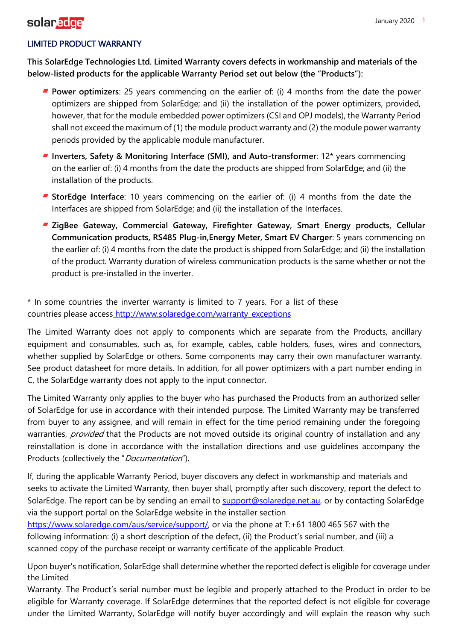## **Solar** edge<sup>1</sup> and the set of the set of the set of the set of the set of the set of the set of the set of the set of the set of the set of the set of the set of the set of the set of the set of the set of the set of the

### LIMITED PRODUCT WARRANTY

**This SolarEdge Technologies Ltd. Limited Warranty covers defects in workmanship and materials of the below-listed products for the applicable Warranty Period set out below (the "Products"):**

- **Power optimizers**: 25 years commencing on the earlier of: (i) 4 months from the date the power optimizers are shipped from SolarEdge; and (ii) the installation of the power optimizers, provided, however, that for the module embedded power optimizers (CSI and OPJ models), the Warranty Period shall not exceed the maximum of (1) the module product warranty and (2) the module power warranty periods provided by the applicable module manufacturer.
- **Inverters, Safety & Monitoring Interface (SMI), and Auto-transformer**: 12\* years commencing on the earlier of: (i) 4 months from the date the products are shipped from SolarEdge; and (ii) the installation of the products.
- **StorEdge Interface**: 10 years commencing on the earlier of: (i) 4 months from the date the Interfaces are shipped from SolarEdge; and (ii) the installation of the Interfaces.
- **ZigBee Gateway, Commercial Gateway, Firefighter Gateway, Smart Energy products, Cellular Communication products, RS485 Plug-in,Energy Meter, Smart EV Charger**: 5 years commencing on the earlier of: (i) 4 months from the date the product is shipped from SolarEdge; and (ii) the installation of the product. Warranty duration of wireless communication products is the same whether or not the product is pre-installed in the inverter.

\* In some countries the inverter warranty is limited to 7 years. For a list of these countries please access [http://www.solaredge.com/warranty\\_exceptions](http://www.solaredge.com/warranty_exceptions)

The Limited Warranty does not apply to components which are separate from the Products, ancillary equipment and consumables, such as, for example, cables, cable holders, fuses, wires and connectors, whether supplied by SolarEdge or others. Some components may carry their own manufacturer warranty. See product datasheet for more details. In addition, for all power optimizers with a part number ending in C, the SolarEdge warranty does not apply to the input connector.

The Limited Warranty only applies to the buyer who has purchased the Products from an authorized seller of SolarEdge for use in accordance with their intended purpose. The Limited Warranty may be transferred from buyer to any assignee, and will remain in effect for the time period remaining under the foregoing warranties, provided that the Products are not moved outside its original country of installation and any reinstallation is done in accordance with the installation directions and use guidelines accompany the Products (collectively the "Documentation").

If, during the applicable Warranty Period, buyer discovers any defect in workmanship and materials and seeks to activate the Limited Warranty, then buyer shall, promptly after such discovery, report the defect to SolarEdge. The report can be by sending an email to [support@solaredge.net.au, o](mailto:support@solaredge.net.au)r by contacting SolarEdge via the support portal on the SolarEdge website in the installer section

[https://www.solaredge.com/aus/service/support/, o](https://www.solaredge.com/aus/service/support/)r via the phone at T:+61 1800 465 567 with the following information: (i) a short description of the defect, (ii) the Product's serial number, and (iii) a scanned copy of the purchase receipt or warranty certificate of the applicable Product.

Upon buyer's notification, SolarEdge shall determine whether the reported defect is eligible for coverage under the Limited

Warranty. The Product's serial number must be legible and properly attached to the Product in order to be eligible for Warranty coverage. If SolarEdge determines that the reported defect is not eligible for coverage under the Limited Warranty, SolarEdge will notify buyer accordingly and will explain the reason why such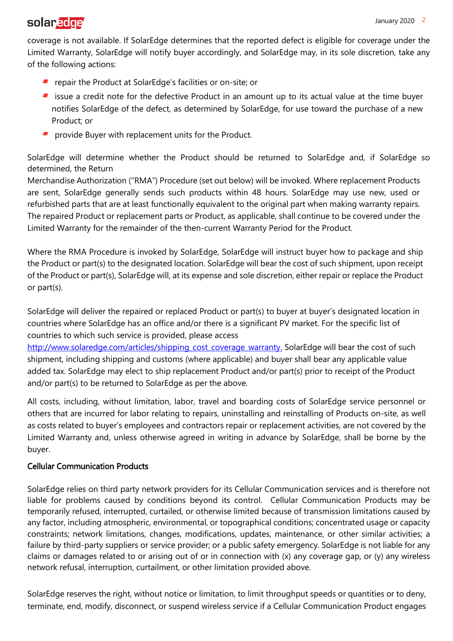# **Solar** edge<sup>1</sup> and the set of the set of the set of the set of the set of the set of the set of the set of the set of the set of the set of the set of the set of the set of the set of the set of the set of the set of the

coverage is not available. If SolarEdge determines that the reported defect is eligible for coverage under the Limited Warranty, SolarEdge will notify buyer accordingly, and SolarEdge may, in its sole discretion, take any of the following actions:

- **F** repair the Product at SolarEdge's facilities or on-site; or
- **F** issue a credit note for the defective Product in an amount up to its actual value at the time buyer notifies SolarEdge of the defect, as determined by SolarEdge, for use toward the purchase of a new Product; or
- **P** provide Buyer with replacement units for the Product.

SolarEdge will determine whether the Product should be returned to SolarEdge and, if SolarEdge so determined, the Return

Merchandise Authorization ("RMA") Procedure (set out below) will be invoked. Where replacement Products are sent, SolarEdge generally sends such products within 48 hours. SolarEdge may use new, used or refurbished parts that are at least functionally equivalent to the original part when making warranty repairs. The repaired Product or replacement parts or Product, as applicable, shall continue to be covered under the Limited Warranty for the remainder of the then-current Warranty Period for the Product.

Where the RMA Procedure is invoked by SolarEdge, SolarEdge will instruct buyer how to package and ship the Product or part(s) to the designated location. SolarEdge will bear the cost of such shipment, upon receipt of the Product or part(s), SolarEdge will, at its expense and sole discretion, either repair or replace the Product or part(s).

SolarEdge will deliver the repaired or replaced Product or part(s) to buyer at buyer's designated location in countries where SolarEdge has an office and/or there is a significant PV market. For the specific list of countries to which such service is provided, please access

[http://www.solaredge.com/articles/shipping\\_cost\\_coverage\\_warranty.](http://www.solaredge.com/articles/shipping_cost_coverage_warranty.) SolarEdge will bear the cost of such shipment, including shipping and customs (where applicable) and buyer shall bear any applicable value added tax. SolarEdge may elect to ship replacement Product and/or part(s) prior to receipt of the Product and/or part(s) to be returned to SolarEdge as per the above.

All costs, including, without limitation, labor, travel and boarding costs of SolarEdge service personnel or others that are incurred for labor relating to repairs, uninstalling and reinstalling of Products on-site, as well as costs related to buyer's employees and contractors repair or replacement activities, are not covered by the Limited Warranty and, unless otherwise agreed in writing in advance by SolarEdge, shall be borne by the buyer.

#### Cellular Communication Products

SolarEdge relies on third party network providers for its Cellular Communication services and is therefore not liable for problems caused by conditions beyond its control. Cellular Communication Products may be temporarily refused, interrupted, curtailed, or otherwise limited because of transmission limitations caused by any factor, including atmospheric, environmental, or topographical conditions; concentrated usage or capacity constraints; network limitations, changes, modifications, updates, maintenance, or other similar activities; a failure by third-party suppliers or service provider; or a public safety emergency. SolarEdge is not liable for any claims or damages related to or arising out of or in connection with (x) any coverage gap, or (y) any wireless network refusal, interruption, curtailment, or other limitation provided above.

SolarEdge reserves the right, without notice or limitation, to limit throughput speeds or quantities or to deny, terminate, end, modify, disconnect, or suspend wireless service if a Cellular Communication Product engages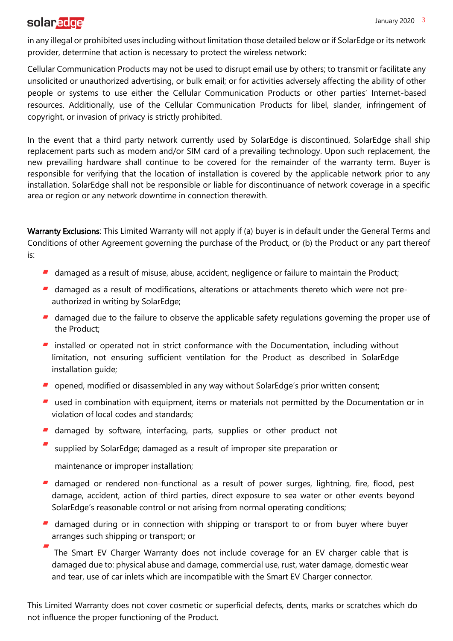### **Solar** edge<sup>1</sup> and the set of the set of the set of the set of the set of the set of the set of the set of the set of the set of the set of the set of the set of the set of the set of the set of the set of the set of the

in any illegal or prohibited uses including without limitation those detailed below or if SolarEdge or its network provider, determine that action is necessary to protect the wireless network:

Cellular Communication Products may not be used to disrupt email use by others; to transmit or facilitate any unsolicited or unauthorized advertising, or bulk email; or for activities adversely affecting the ability of other people or systems to use either the Cellular Communication Products or other parties' Internet-based resources. Additionally, use of the Cellular Communication Products for libel, slander, infringement of copyright, or invasion of privacy is strictly prohibited.

In the event that a third party network currently used by SolarEdge is discontinued, SolarEdge shall ship replacement parts such as modem and/or SIM card of a prevailing technology. Upon such replacement, the new prevailing hardware shall continue to be covered for the remainder of the warranty term. Buyer is responsible for verifying that the location of installation is covered by the applicable network prior to any installation. SolarEdge shall not be responsible or liable for discontinuance of network coverage in a specific area or region or any network downtime in connection therewith.

Warranty Exclusions: This Limited Warranty will not apply if (a) buyer is in default under the General Terms and Conditions of other Agreement governing the purchase of the Product, or (b) the Product or any part thereof is:

- damaged as a result of misuse, abuse, accident, negligence or failure to maintain the Product;
- damaged as a result of modifications, alterations or attachments thereto which were not preauthorized in writing by SolarEdge;
- damaged due to the failure to observe the applicable safety regulations governing the proper use of the Product;
- **F** installed or operated not in strict conformance with the Documentation, including without limitation, not ensuring sufficient ventilation for the Product as described in SolarEdge installation guide;
- opened, modified or disassembled in any way without SolarEdge's prior written consent;
- **E** used in combination with equipment, items or materials not permitted by the Documentation or in violation of local codes and standards;
- **damaged by software, interfacing, parts, supplies or other product not**
- supplied by SolarEdge; damaged as a result of improper site preparation or
	- maintenance or improper installation;
- **damaged or rendered non-functional as a result of power surges, lightning, fire, flood, pest** damage, accident, action of third parties, direct exposure to sea water or other events beyond SolarEdge's reasonable control or not arising from normal operating conditions;
- **damaged during or in connection with shipping or transport to or from buyer where buyer** arranges such shipping or transport; or

The Smart EV Charger Warranty does not include coverage for an EV charger cable that is damaged due to: physical abuse and damage, commercial use, rust, water damage, domestic wear and tear, use of car inlets which are incompatible with the Smart EV Charger connector.

This Limited Warranty does not cover cosmetic or superficial defects, dents, marks or scratches which do not influence the proper functioning of the Product.